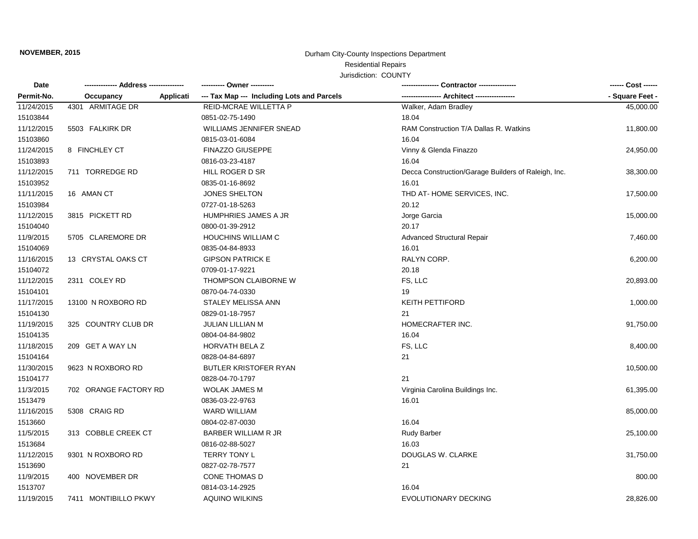## **NOVEMBER, 2015 NOVEMBER, 2015 Durham City-County Inspections Department**

## Residential Repairs

## Jurisdiction: COUNTY

| Date<br>Permit-No. |                        | ---------- Owner ----------                |                                                     | ------ Cost ------ |
|--------------------|------------------------|--------------------------------------------|-----------------------------------------------------|--------------------|
|                    | Occupancy<br>Applicati | --- Tax Map --- Including Lots and Parcels | ---- Architect ------------                         | - Square Feet -    |
| 11/24/2015         | 4301 ARMITAGE DR       | REID-MCRAE WILLETTA P                      | Walker, Adam Bradley                                | 45,000.00          |
| 15103844           |                        | 0851-02-75-1490                            | 18.04                                               |                    |
| 11/12/2015         | 5503 FALKIRK DR        | <b>WILLIAMS JENNIFER SNEAD</b>             | RAM Construction T/A Dallas R. Watkins              | 11,800.00          |
| 15103860           |                        | 0815-03-01-6084                            | 16.04                                               |                    |
| 11/24/2015         | 8 FINCHLEY CT          | <b>FINAZZO GIUSEPPE</b>                    | Vinny & Glenda Finazzo                              | 24,950.00          |
| 15103893           |                        | 0816-03-23-4187                            | 16.04                                               |                    |
| 11/12/2015         | 711 TORREDGE RD        | HILL ROGER D SR                            | Decca Construction/Garage Builders of Raleigh, Inc. | 38,300.00          |
| 15103952           |                        | 0835-01-16-8692                            | 16.01                                               |                    |
| 11/11/2015         | 16 AMAN CT             | <b>JONES SHELTON</b>                       | THD AT-HOME SERVICES, INC.                          | 17,500.00          |
| 15103984           |                        | 0727-01-18-5263                            | 20.12                                               |                    |
| 11/12/2015         | 3815 PICKETT RD        | <b>HUMPHRIES JAMES A JR</b>                | Jorge Garcia                                        | 15,000.00          |
| 15104040           |                        | 0800-01-39-2912                            | 20.17                                               |                    |
| 11/9/2015          | 5705 CLAREMORE DR      | <b>HOUCHINS WILLIAM C</b>                  | <b>Advanced Structural Repair</b>                   | 7,460.00           |
| 15104069           |                        | 0835-04-84-8933                            | 16.01                                               |                    |
| 11/16/2015         | 13 CRYSTAL OAKS CT     | <b>GIPSON PATRICK E</b>                    | RALYN CORP.                                         | 6,200.00           |
| 15104072           |                        | 0709-01-17-9221                            | 20.18                                               |                    |
| 11/12/2015         | 2311 COLEY RD          | THOMPSON CLAIBORNE W                       | FS, LLC                                             | 20,893.00          |
| 15104101           |                        | 0870-04-74-0330                            | 19                                                  |                    |
| 11/17/2015         | 13100 N ROXBORO RD     | STALEY MELISSA ANN                         | <b>KEITH PETTIFORD</b>                              | 1,000.00           |
| 15104130           |                        | 0829-01-18-7957                            | 21                                                  |                    |
| 11/19/2015         | 325 COUNTRY CLUB DR    | JULIAN LILLIAN M                           | HOMECRAFTER INC.                                    | 91,750.00          |
| 15104135           |                        | 0804-04-84-9802                            | 16.04                                               |                    |
| 11/18/2015         | 209 GET A WAY LN       | <b>HORVATH BELA Z</b>                      | FS, LLC                                             | 8,400.00           |
| 15104164           |                        | 0828-04-84-6897                            | 21                                                  |                    |
| 11/30/2015         | 9623 N ROXBORO RD      | <b>BUTLER KRISTOFER RYAN</b>               |                                                     | 10,500.00          |
| 15104177           |                        | 0828-04-70-1797                            | 21                                                  |                    |
| 11/3/2015          | 702 ORANGE FACTORY RD  | <b>WOLAK JAMES M</b>                       | Virginia Carolina Buildings Inc.                    | 61,395.00          |
| 1513479            |                        | 0836-03-22-9763                            | 16.01                                               |                    |
| 11/16/2015         | 5308 CRAIG RD          | <b>WARD WILLIAM</b>                        |                                                     | 85,000.00          |
| 1513660            |                        | 0804-02-87-0030                            | 16.04                                               |                    |
| 11/5/2015          | 313 COBBLE CREEK CT    | <b>BARBER WILLIAM R JR</b>                 | <b>Rudy Barber</b>                                  | 25,100.00          |
| 1513684            |                        | 0816-02-88-5027                            | 16.03                                               |                    |
| 11/12/2015         | 9301 N ROXBORO RD      | TERRY TONY L                               | DOUGLAS W. CLARKE                                   | 31,750.00          |
| 1513690            |                        | 0827-02-78-7577                            | 21                                                  |                    |
| 11/9/2015          | 400 NOVEMBER DR        | CONE THOMAS D                              |                                                     | 800.00             |
| 1513707            |                        | 0814-03-14-2925                            | 16.04                                               |                    |
| 11/19/2015         | 7411 MONTIBILLO PKWY   | <b>AQUINO WILKINS</b>                      | EVOLUTIONARY DECKING                                | 28,826.00          |